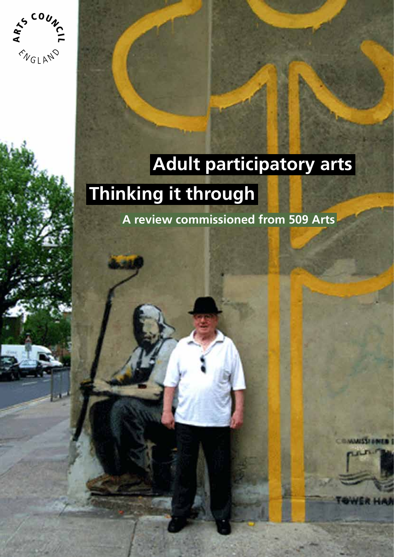

# **Adult participatory arts Thinking it through**

**arts – Thinking it** 

**through** 

**Adult participatory A review commissioned from 509 Arts**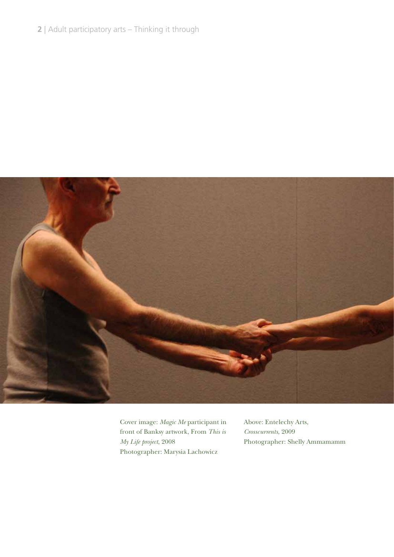### **2** | Adult participatory arts – Thinking it through



Cover image: *Magic Me* participant in front of Banksy artwork, From *This is My Life project*, 2008 Photographer: Marysia Lachowicz

Above: Entelechy Arts, *Crosscurrents*, 2009 Photographer: Shelly Ammamamm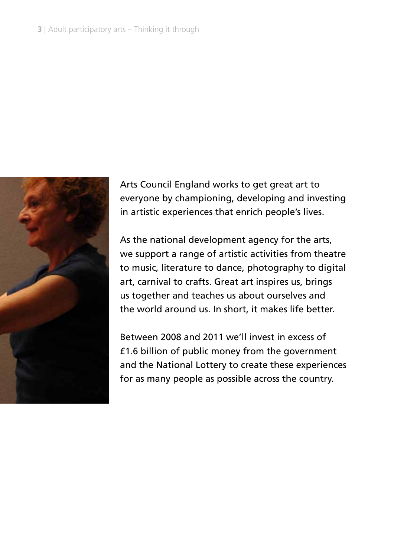

Arts Council England works to get great art to everyone by championing, developing and investing in artistic experiences that enrich people's lives.

As the national development agency for the arts, we support a range of artistic activities from theatre to music, literature to dance, photography to digital art, carnival to crafts. Great art inspires us, brings us together and teaches us about ourselves and the world around us. In short, it makes life better.

Between 2008 and 2011 we'll invest in excess of £1.6 billion of public money from the government and the National Lottery to create these experiences for as many people as possible across the country.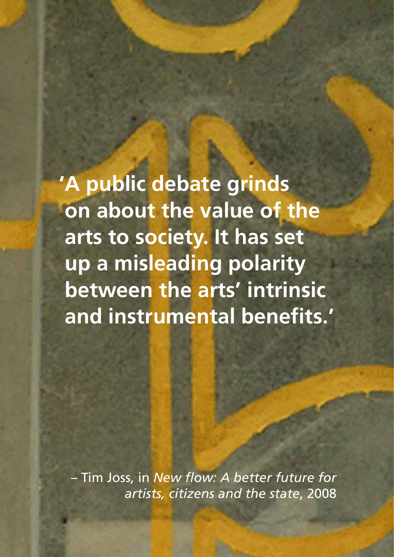**'A public debate grinds on about the value of the arts to society. It has set up a misleading polarity between the arts' intrinsic and instrumental benefits.'** 

– Tim Joss, in *New flow: A better future for artists, citizens and the state*, 2008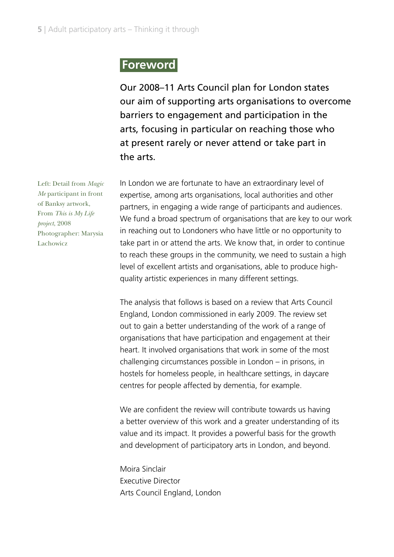# **Foreword**

Our 2008–11 Arts Council plan for London states our aim of supporting arts organisations to overcome barriers to engagement and participation in the arts, focusing in particular on reaching those who at present rarely or never attend or take part in the arts.

In London we are fortunate to have an extraordinary level of expertise, among arts organisations, local authorities and other partners, in engaging a wide range of participants and audiences. We fund a broad spectrum of organisations that are key to our work in reaching out to Londoners who have little or no opportunity to take part in or attend the arts. We know that, in order to continue to reach these groups in the community, we need to sustain a high level of excellent artists and organisations, able to produce highquality artistic experiences in many different settings.

The analysis that follows is based on a review that Arts Council England, London commissioned in early 2009. The review set out to gain a better understanding of the work of a range of organisations that have participation and engagement at their heart. It involved organisations that work in some of the most challenging circumstances possible in London – in prisons, in hostels for homeless people, in healthcare settings, in daycare centres for people affected by dementia, for example.

We are confident the review will contribute towards us having a better overview of this work and a greater understanding of its value and its impact. It provides a powerful basis for the growth and development of participatory arts in London, and beyond.

Moira Sinclair Executive Director Arts Council England, London

Left: Detail from *Magic Me* participant in front of Banksy artwork, From *This is My Life project*, 2008 Photographer: Marysia Lachowicz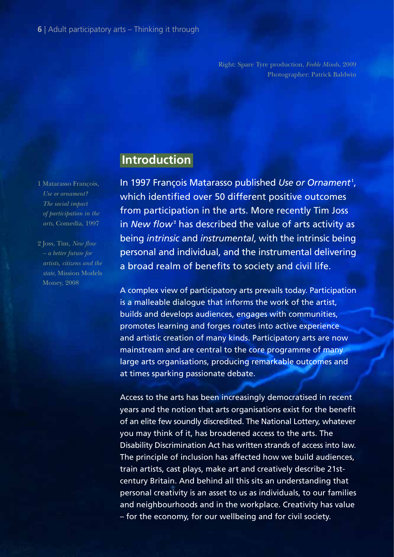Right: Spare Tyre production, *Feeble Minds*, 2009 Photographer: Patrick Baldwin

1 Matarasso François,

*Use or ornament? The social impact of participation in the arts*, Comedia, 1997

2 Joss, Tim, *New flow – a better future for artists, citizens and the state*, Mission Models Money, 2008

# **Introduction**

In 1997 François Matarasso published *Use or Ornament* **<sup>1</sup>** , which identified over 50 different positive outcomes from participation in the arts. More recently Tim Joss in *New flow*<sup>2</sup> has described the value of arts activity as being *intrinsic* and *instrumental*, with the intrinsic being personal and individual, and the instrumental delivering a broad realm of benefits to society and civil life.

A complex view of participatory arts prevails today. Participation is a malleable dialogue that informs the work of the artist, builds and develops audiences, engages with communities, promotes learning and forges routes into active experience and artistic creation of many kinds. Participatory arts are now mainstream and are central to the core programme of many large arts organisations, producing remarkable outcomes and at times sparking passionate debate.

Access to the arts has been increasingly democratised in recent years and the notion that arts organisations exist for the benefit of an elite few soundly discredited. The National Lottery, whatever you may think of it, has broadened access to the arts. The Disability Discrimination Act has written strands of access into law. The principle of inclusion has affected how we build audiences, train artists, cast plays, make art and creatively describe 21stcentury Britain. And behind all this sits an understanding that personal creativity is an asset to us as individuals, to our families and neighbourhoods and in the workplace. Creativity has value – for the economy, for our wellbeing and for civil society.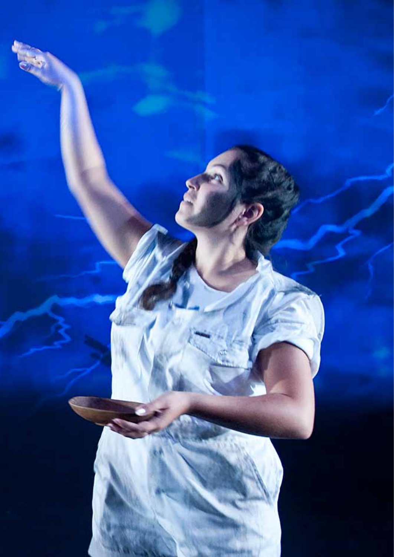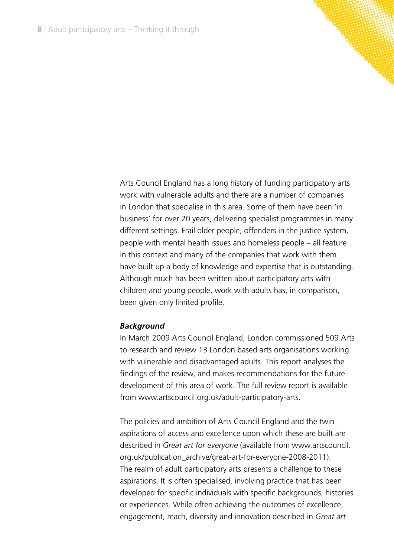Arts Council England has a long history of funding participatory arts work with vulnerable adults and there are a number of companies in London that specialise in this area. Some of them have been 'in business' for over 20 years, delivering specialist programmes in many different settings. Frail older people, offenders in the justice system, people with mental health issues and homeless people – all feature in this context and many of the companies that work with them have built up a body of knowledge and expertise that is outstanding. Although much has been written about participatory arts with children and young people, work with adults has, in comparison, been given only limited profile.

#### *Background*

In March 2009 Arts Council England, London commissioned 509 Arts to research and review 13 London based arts organisations working with vulnerable and disadvantaged adults. This report analyses the findings of the review, and makes recommendations for the future development of this area of work. The full review report is available from [www.artscouncil.org.uk/adult-participatory-arts](http://www.artscouncil.org.uk/adult-participatory-arts).

The policies and ambition of Arts Council England and the twin aspirations of access and excellence upon which these are built are described in *Great art for everyone* (available from [www.artscouncil.](http://www.artscouncil.org.uk/publication_archive/great-art-for-everyone-2008-2011) [org.uk/publication\\_archive/great-art-for-everyone-2008-2011\)](http://www.artscouncil.org.uk/publication_archive/great-art-for-everyone-2008-2011). The realm of adult participatory arts presents a challenge to these aspirations. It is often specialised, involving practice that has been developed for specific individuals with specific backgrounds, histories or experiences. While often achieving the outcomes of excellence, engagement, reach, diversity and innovation described in *Great art*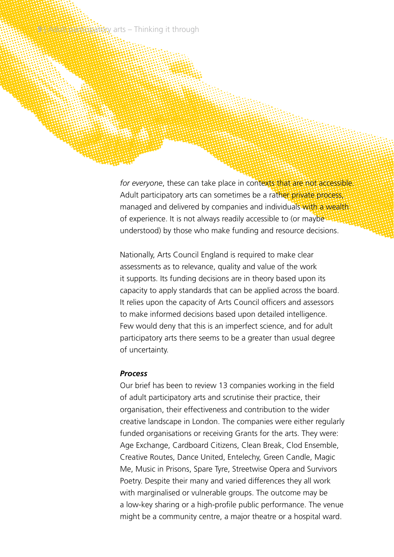

for everyone, these can take place in contexts that are not accessible. Adult participatory arts can sometimes be a rather private process, managed and delivered by companies and individuals with a wealth of experience. It is not always readily accessible to (or maybe understood) by those who make funding and resource decisions.

Nationally, Arts Council England is required to make clear assessments as to relevance, quality and value of the work it supports. Its funding decisions are in theory based upon its capacity to apply standards that can be applied across the board. It relies upon the capacity of Arts Council officers and assessors to make informed decisions based upon detailed intelligence. Few would deny that this is an imperfect science, and for adult participatory arts there seems to be a greater than usual degree of uncertainty.

#### *Process*

Our brief has been to review 13 companies working in the field of adult participatory arts and scrutinise their practice, their organisation, their effectiveness and contribution to the wider creative landscape in London. The companies were either regularly funded organisations or receiving Grants for the arts. They were: Age Exchange, Cardboard Citizens, Clean Break, Clod Ensemble, Creative Routes, Dance United, Entelechy, Green Candle, Magic Me, Music in Prisons, Spare Tyre, Streetwise Opera and Survivors Poetry. Despite their many and varied differences they all work with marginalised or vulnerable groups. The outcome may be a low-key sharing or a high-profile public performance. The venue might be a community centre, a major theatre or a hospital ward.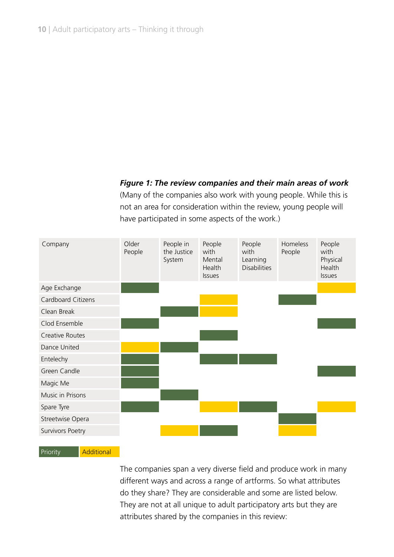### *Figure 1: The review companies and their main areas of work*  (Many of the companies also work with young people. While this is not an area for consideration within the review, young people will have participated in some aspects of the work.)



#### Priority **Additional**

The companies span a very diverse field and produce work in many different ways and across a range of artforms. So what attributes do they share? They are considerable and some are listed below. They are not at all unique to adult participatory arts but they are attributes shared by the companies in this review: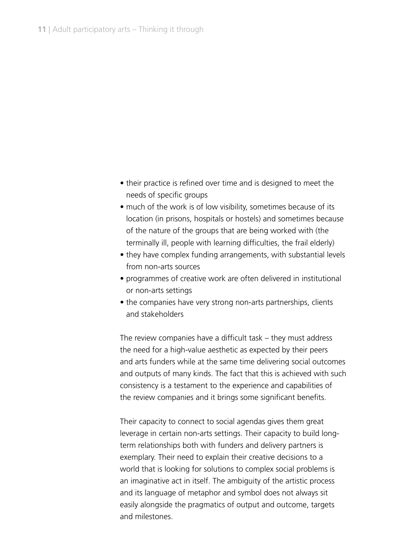- **•** their practice is refined over time and is designed to meet the needs of specific groups
- **•** much of the work is of low visibility, sometimes because of its location (in prisons, hospitals or hostels) and sometimes because of the nature of the groups that are being worked with (the terminally ill, people with learning difficulties, the frail elderly)
- **•** they have complex funding arrangements, with substantial levels from non-arts sources
- **•** programmes of creative work are often delivered in institutional or non-arts settings
- **•** the companies have very strong non-arts partnerships, clients and stakeholders

The review companies have a difficult task – they must address the need for a high-value aesthetic as expected by their peers and arts funders while at the same time delivering social outcomes and outputs of many kinds. The fact that this is achieved with such consistency is a testament to the experience and capabilities of the review companies and it brings some significant benefits.

Their capacity to connect to social agendas gives them great leverage in certain non-arts settings. Their capacity to build longterm relationships both with funders and delivery partners is exemplary. Their need to explain their creative decisions to a world that is looking for solutions to complex social problems is an imaginative act in itself. The ambiguity of the artistic process and its language of metaphor and symbol does not always sit easily alongside the pragmatics of output and outcome, targets and milestones.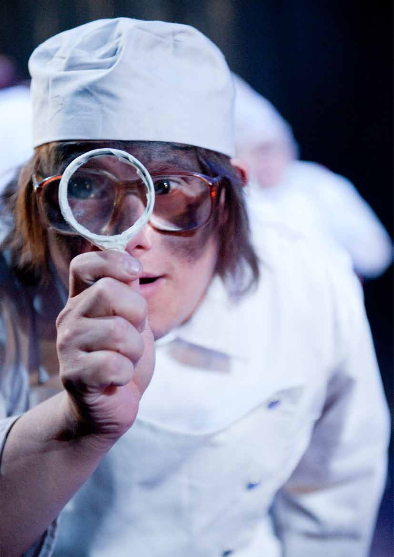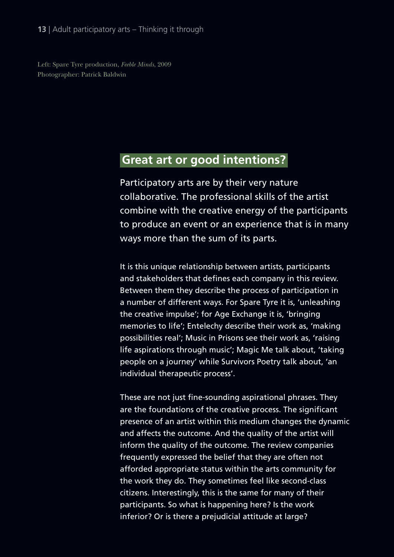Left: Spare Tyre production, *Feeble Minds*, 2009 Photographer: Patrick Baldwin

# **Great art or good intentions?**

Participatory arts are by their very nature collaborative. The professional skills of the artist combine with the creative energy of the participants to produce an event or an experience that is in many ways more than the sum of its parts.

It is this unique relationship between artists, participants and stakeholders that defines each company in this review. Between them they describe the process of participation in a number of different ways. For Spare Tyre it is, 'unleashing the creative impulse'; for Age Exchange it is, 'bringing memories to life'; Entelechy describe their work as, 'making possibilities real'; Music in Prisons see their work as, 'raising life aspirations through music'; Magic Me talk about, 'taking people on a journey' while Survivors Poetry talk about, 'an individual therapeutic process'.

These are not just fine-sounding aspirational phrases. They are the foundations of the creative process. The significant presence of an artist within this medium changes the dynamic and affects the outcome. And the quality of the artist will inform the quality of the outcome. The review companies frequently expressed the belief that they are often not afforded appropriate status within the arts community for the work they do. They sometimes feel like second-class citizens. Interestingly, this is the same for many of their participants. So what is happening here? Is the work inferior? Or is there a prejudicial attitude at large?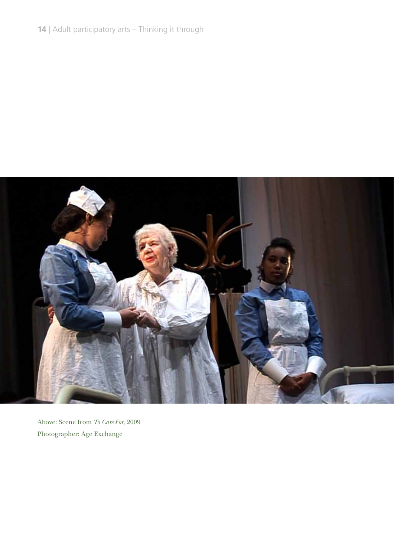![](_page_13_Picture_1.jpeg)

Above: Scene from *To Care For*, 2009 Photographer: Age Exchange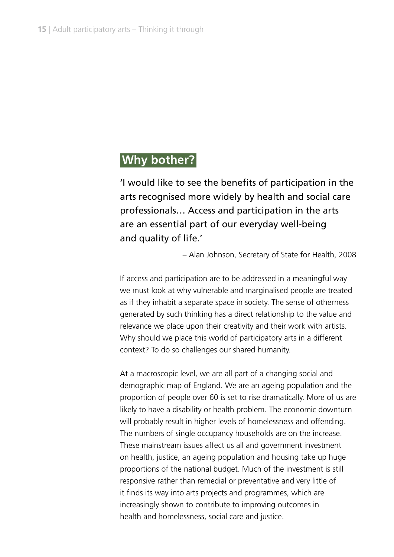# **Why bother?**

'I would like to see the benefits of participation in the arts recognised more widely by health and social care professionals… Access and participation in the arts are an essential part of our everyday well-being and quality of life.'

– Alan Johnson, Secretary of State for Health, 2008

If access and participation are to be addressed in a meaningful way we must look at why vulnerable and marginalised people are treated as if they inhabit a separate space in society. The sense of otherness generated by such thinking has a direct relationship to the value and relevance we place upon their creativity and their work with artists. Why should we place this world of participatory arts in a different context? To do so challenges our shared humanity.

At a macroscopic level, we are all part of a changing social and demographic map of England. We are an ageing population and the proportion of people over 60 is set to rise dramatically. More of us are likely to have a disability or health problem. The economic downturn will probably result in higher levels of homelessness and offending. The numbers of single occupancy households are on the increase. These mainstream issues affect us all and government investment on health, justice, an ageing population and housing take up huge proportions of the national budget. Much of the investment is still responsive rather than remedial or preventative and very little of it finds its way into arts projects and programmes, which are increasingly shown to contribute to improving outcomes in health and homelessness, social care and justice.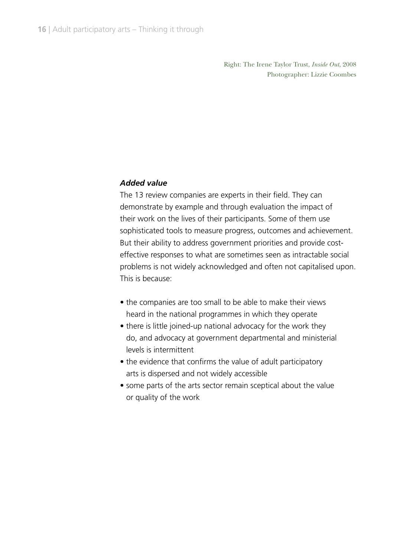Right: The Irene Taylor Trust, *Inside Out*, 2008 Photographer: Lizzie Coombes

### *Added value*

The 13 review companies are experts in their field. They can demonstrate by example and through evaluation the impact of their work on the lives of their participants. Some of them use sophisticated tools to measure progress, outcomes and achievement. But their ability to address government priorities and provide costeffective responses to what are sometimes seen as intractable social problems is not widely acknowledged and often not capitalised upon. This is because:

- **•** the companies are too small to be able to make their views heard in the national programmes in which they operate
- **•** there is little joined-up national advocacy for the work they do, and advocacy at government departmental and ministerial levels is intermittent
- **•** the evidence that confirms the value of adult participatory arts is dispersed and not widely accessible
- **•** some parts of the arts sector remain sceptical about the value or quality of the work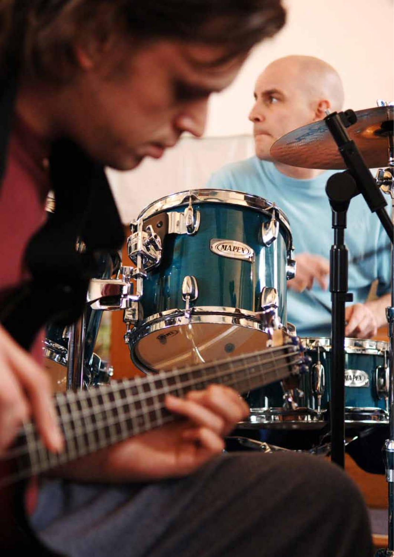![](_page_16_Picture_0.jpeg)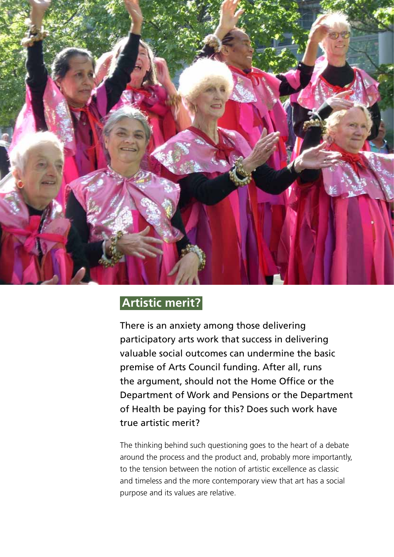![](_page_17_Picture_0.jpeg)

# **Artistic merit?**

There is an anxiety among those delivering participatory arts work that success in delivering valuable social outcomes can undermine the basic premise of Arts Council funding. After all, runs the argument, should not the Home Office or the Department of Work and Pensions or the Department of Health be paying for this? Does such work have true artistic merit?

The thinking behind such questioning goes to the heart of a debate around the process and the product and, probably more importantly, to the tension between the notion of artistic excellence as classic and timeless and the more contemporary view that art has a social purpose and its values are relative.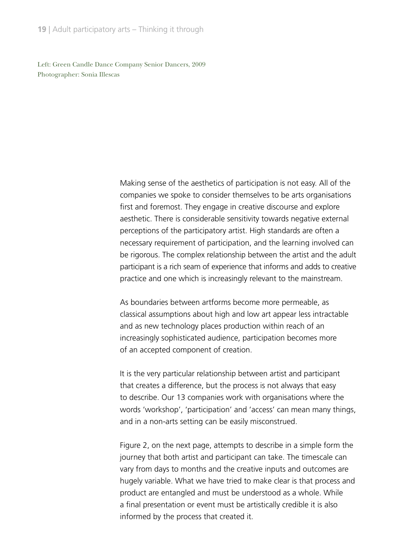Left: Green Candle Dance Company Senior Dancers, 2009 Photographer: Sonia Illescas

> Making sense of the aesthetics of participation is not easy. All of the companies we spoke to consider themselves to be arts organisations first and foremost. They engage in creative discourse and explore aesthetic. There is considerable sensitivity towards negative external perceptions of the participatory artist. High standards are often a necessary requirement of participation, and the learning involved can be rigorous. The complex relationship between the artist and the adult participant is a rich seam of experience that informs and adds to creative practice and one which is increasingly relevant to the mainstream.

As boundaries between artforms become more permeable, as classical assumptions about high and low art appear less intractable and as new technology places production within reach of an increasingly sophisticated audience, participation becomes more of an accepted component of creation.

It is the very particular relationship between artist and participant that creates a difference, but the process is not always that easy to describe. Our 13 companies work with organisations where the words 'workshop', 'participation' and 'access' can mean many things, and in a non-arts setting can be easily misconstrued.

Figure 2, on the next page, attempts to describe in a simple form the journey that both artist and participant can take. The timescale can vary from days to months and the creative inputs and outcomes are hugely variable. What we have tried to make clear is that process and product are entangled and must be understood as a whole. While a final presentation or event must be artistically credible it is also informed by the process that created it.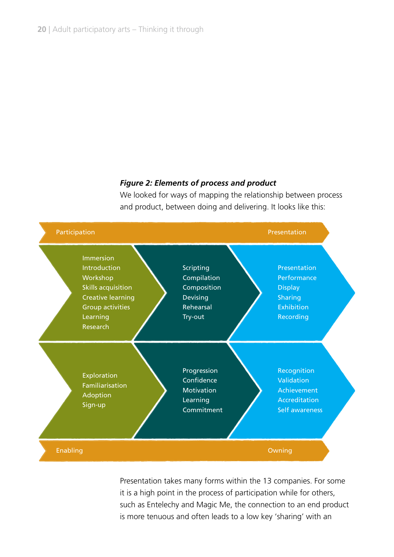### *Figure 2: Elements of process and product*

We looked for ways of mapping the relationship between process and product, between doing and delivering. It looks like this:

![](_page_19_Figure_3.jpeg)

Presentation takes many forms within the 13 companies. For some it is a high point in the process of participation while for others, such as Entelechy and Magic Me, the connection to an end product is more tenuous and often leads to a low key 'sharing' with an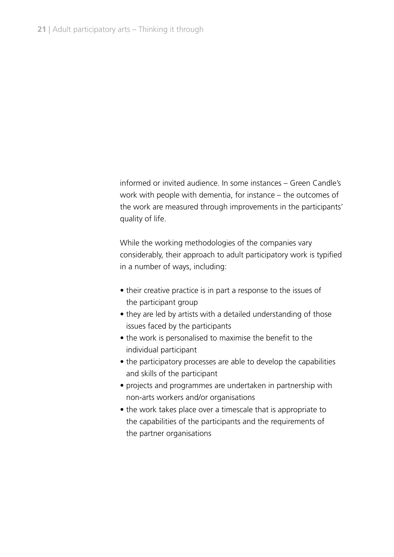informed or invited audience. In some instances – Green Candle's work with people with dementia, for instance – the outcomes of the work are measured through improvements in the participants' quality of life.

While the working methodologies of the companies vary considerably, their approach to adult participatory work is typified in a number of ways, including:

- **•** their creative practice is in part a response to the issues of the participant group
- **•** they are led by artists with a detailed understanding of those issues faced by the participants
- **•** the work is personalised to maximise the benefit to the individual participant
- **•** the participatory processes are able to develop the capabilities and skills of the participant
- **•** projects and programmes are undertaken in partnership with non-arts workers and/or organisations
- **•** the work takes place over a timescale that is appropriate to the capabilities of the participants and the requirements of the partner organisations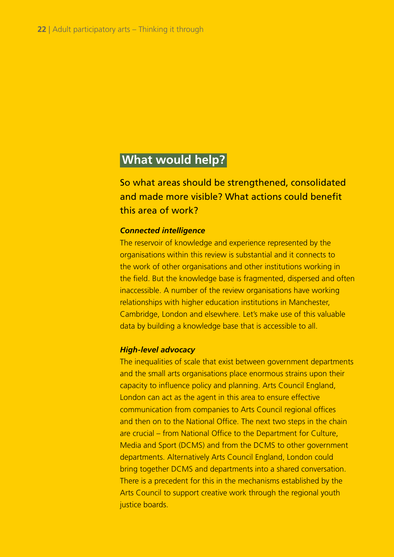# **What would help?**

So what areas should be strengthened, consolidated and made more visible? What actions could benefit this area of work?

#### *Connected intelligence*

The reservoir of knowledge and experience represented by the organisations within this review is substantial and it connects to the work of other organisations and other institutions working in the field. But the knowledge base is fragmented, dispersed and often inaccessible. A number of the review organisations have working relationships with higher education institutions in Manchester, Cambridge, London and elsewhere. Let's make use of this valuable data by building a knowledge base that is accessible to all.

#### *High-level advocacy*

The inequalities of scale that exist between government departments and the small arts organisations place enormous strains upon their capacity to influence policy and planning. Arts Council England, London can act as the agent in this area to ensure effective communication from companies to Arts Council regional offices and then on to the National Office. The next two steps in the chain are crucial – from National Office to the Department for Culture, Media and Sport (DCMS) and from the DCMS to other government departments. Alternatively Arts Council England, London could bring together DCMS and departments into a shared conversation. There is a precedent for this in the mechanisms established by the Arts Council to support creative work through the regional youth justice boards.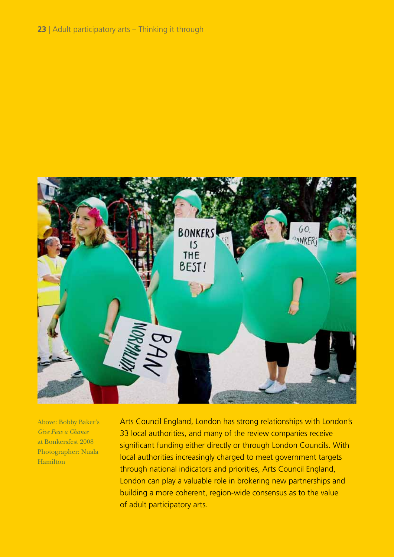![](_page_22_Picture_1.jpeg)

Above: Bobby Baker's *Give Peas a Chance* at Bonkersfest 2008 Photographer: Nuala Hamilton

Arts Council England, London has strong relationships with London's 33 local authorities, and many of the review companies receive significant funding either directly or through London Councils. With local authorities increasingly charged to meet government targets through national indicators and priorities, Arts Council England, London can play a valuable role in brokering new partnerships and building a more coherent, region-wide consensus as to the value of adult participatory arts.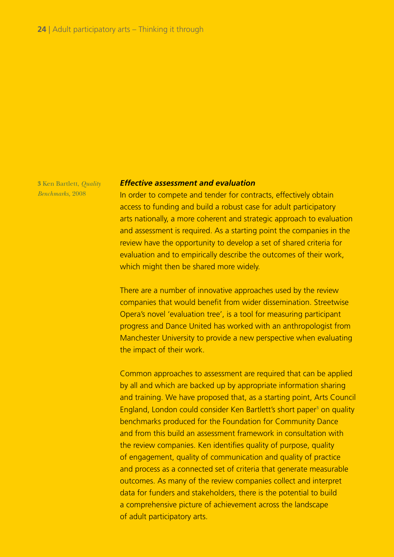**3** Ken Bartlett, *Quality Benchmarks,* 2008

#### *Effective assessment and evaluation*

In order to compete and tender for contracts, effectively obtain access to funding and build a robust case for adult participatory arts nationally, a more coherent and strategic approach to evaluation and assessment is required. As a starting point the companies in the review have the opportunity to develop a set of shared criteria for evaluation and to empirically describe the outcomes of their work, which might then be shared more widely.

There are a number of innovative approaches used by the review companies that would benefit from wider dissemination. Streetwise Opera's novel 'evaluation tree', is a tool for measuring participant progress and Dance United has worked with an anthropologist from Manchester University to provide a new perspective when evaluating the impact of their work.

Common approaches to assessment are required that can be applied by all and which are backed up by appropriate information sharing and training. We have proposed that, as a starting point, Arts Council England, London could consider Ken Bartlett's short paper**<sup>3</sup>** on quality benchmarks produced for the Foundation for Community Dance and from this build an assessment framework in consultation with the review companies. Ken identifies quality of purpose, quality of engagement, quality of communication and quality of practice and process as a connected set of criteria that generate measurable outcomes. As many of the review companies collect and interpret data for funders and stakeholders, there is the potential to build a comprehensive picture of achievement across the landscape of adult participatory arts.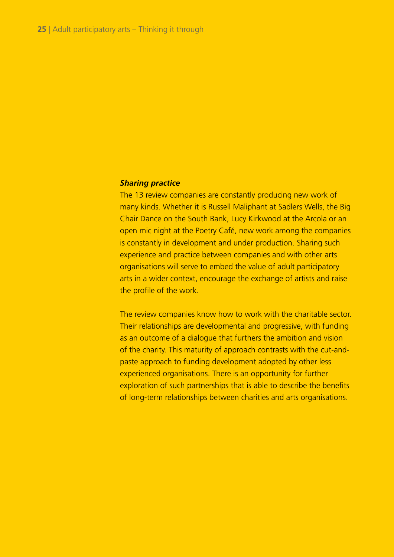#### *Sharing practice*

The 13 review companies are constantly producing new work of many kinds. Whether it is Russell Maliphant at Sadlers Wells, the Big Chair Dance on the South Bank, Lucy Kirkwood at the Arcola or an open mic night at the Poetry Café, new work among the companies is constantly in development and under production. Sharing such experience and practice between companies and with other arts organisations will serve to embed the value of adult participatory arts in a wider context, encourage the exchange of artists and raise the profile of the work.

The review companies know how to work with the charitable sector. Their relationships are developmental and progressive, with funding as an outcome of a dialogue that furthers the ambition and vision of the charity. This maturity of approach contrasts with the cut-andpaste approach to funding development adopted by other less experienced organisations. There is an opportunity for further exploration of such partnerships that is able to describe the benefits of long-term relationships between charities and arts organisations.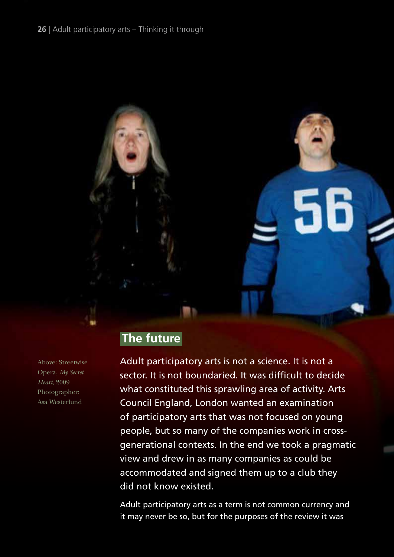Above: Streetwise Opera, *My Secret Heart*, 2009 Photographer: Asa Westerlund

# **The future**

Adult participatory arts is not a science. It is not a sector. It is not boundaried. It was difficult to decide what constituted this sprawling area of activity. Arts Council England, London wanted an examination of participatory arts that was not focused on young people, but so many of the companies work in crossgenerational contexts. In the end we took a pragmatic view and drew in as many companies as could be accommodated and signed them up to a club they did not know existed.

56

Adult participatory arts as a term is not common currency and it may never be so, but for the purposes of the review it was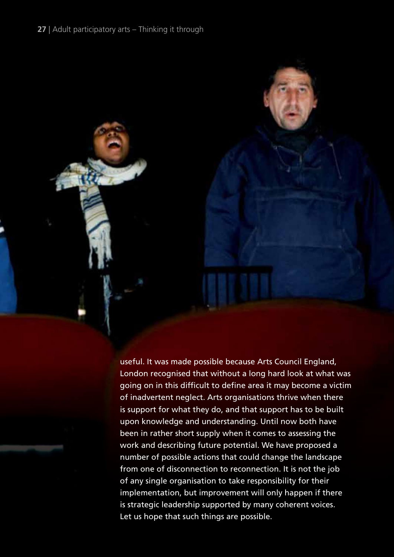useful. It was made possible because Arts Council England, London recognised that without a long hard look at what was going on in this difficult to define area it may become a victim of inadvertent neglect. Arts organisations thrive when there is support for what they do, and that support has to be built upon knowledge and understanding. Until now both have been in rather short supply when it comes to assessing the work and describing future potential. We have proposed a number of possible actions that could change the landscape from one of disconnection to reconnection. It is not the job of any single organisation to take responsibility for their implementation, but improvement will only happen if there is strategic leadership supported by many coherent voices. Let us hope that such things are possible.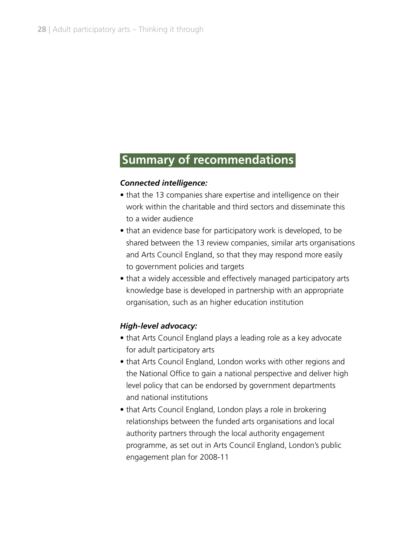# **Summary of recommendations**

### *Connected intelligence:*

- **•** that the 13 companies share expertise and intelligence on their work within the charitable and third sectors and disseminate this to a wider audience
- **•** that an evidence base for participatory work is developed, to be shared between the 13 review companies, similar arts organisations and Arts Council England, so that they may respond more easily to government policies and targets
- **•** that a widely accessible and effectively managed participatory arts knowledge base is developed in partnership with an appropriate organisation, such as an higher education institution

### *High-level advocacy:*

- **•** that Arts Council England plays a leading role as a key advocate for adult participatory arts
- **•** that Arts Council England, London works with other regions and the National Office to gain a national perspective and deliver high level policy that can be endorsed by government departments and national institutions
- **•** that Arts Council England, London plays a role in brokering relationships between the funded arts organisations and local authority partners through the local authority engagement programme, as set out in Arts Council England, London's public engagement plan for 2008-11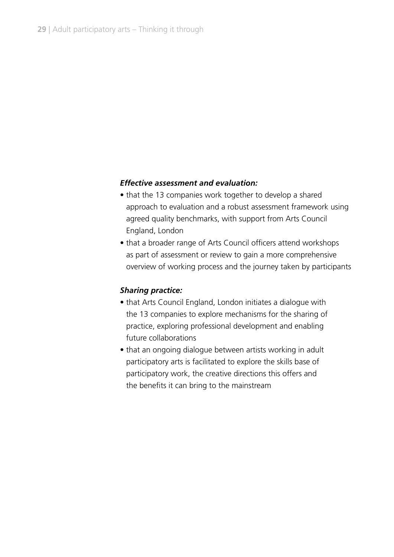### *Effective assessment and evaluation:*

- **•** that the 13 companies work together to develop a shared approach to evaluation and a robust assessment framework using agreed quality benchmarks, with support from Arts Council England, London
- **•** that a broader range of Arts Council officers attend workshops as part of assessment or review to gain a more comprehensive overview of working process and the journey taken by participants

### *Sharing practice:*

- **•** that Arts Council England, London initiates a dialogue with the 13 companies to explore mechanisms for the sharing of practice, exploring professional development and enabling future collaborations
- **•** that an ongoing dialogue between artists working in adult participatory arts is facilitated to explore the skills base of participatory work, the creative directions this offers and the benefits it can bring to the mainstream